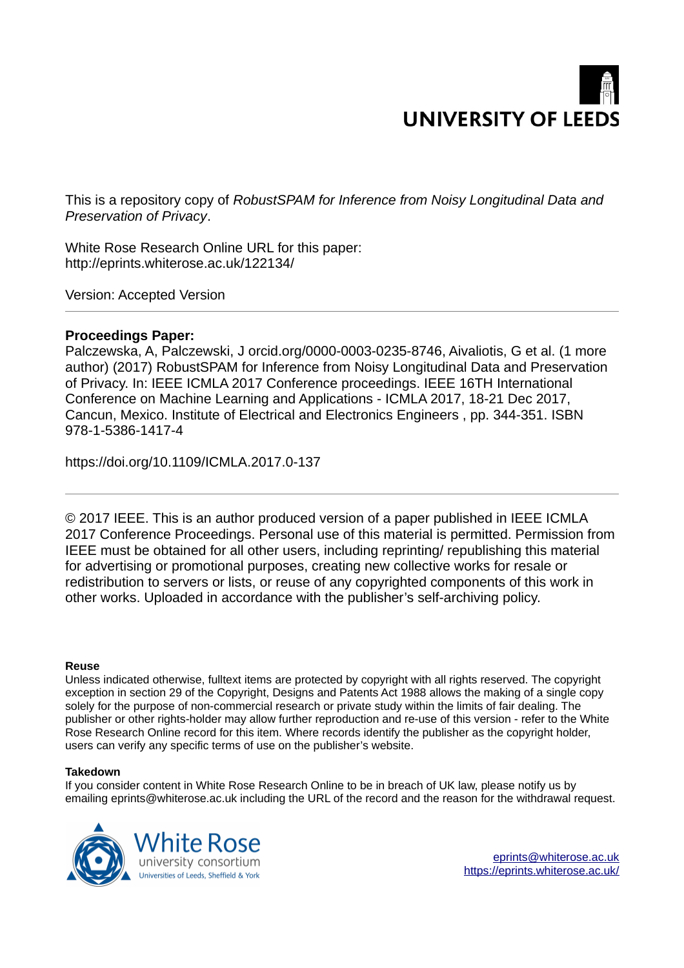# **UNIVERSITY OF LEED**

This is a repository copy of *RobustSPAM for Inference from Noisy Longitudinal Data and Preservation of Privacy*.

White Rose Research Online URL for this paper: http://eprints.whiterose.ac.uk/122134/

Version: Accepted Version

# **Proceedings Paper:**

Palczewska, A, Palczewski, J orcid.org/0000-0003-0235-8746, Aivaliotis, G et al. (1 more author) (2017) RobustSPAM for Inference from Noisy Longitudinal Data and Preservation of Privacy. In: IEEE ICMLA 2017 Conference proceedings. IEEE 16TH International Conference on Machine Learning and Applications - ICMLA 2017, 18-21 Dec 2017, Cancun, Mexico. Institute of Electrical and Electronics Engineers , pp. 344-351. ISBN 978-1-5386-1417-4

https://doi.org/10.1109/ICMLA.2017.0-137

© 2017 IEEE. This is an author produced version of a paper published in IEEE ICMLA 2017 Conference Proceedings. Personal use of this material is permitted. Permission from IEEE must be obtained for all other users, including reprinting/ republishing this material for advertising or promotional purposes, creating new collective works for resale or redistribution to servers or lists, or reuse of any copyrighted components of this work in other works. Uploaded in accordance with the publisher's self-archiving policy.

# **Reuse**

Unless indicated otherwise, fulltext items are protected by copyright with all rights reserved. The copyright exception in section 29 of the Copyright, Designs and Patents Act 1988 allows the making of a single copy solely for the purpose of non-commercial research or private study within the limits of fair dealing. The publisher or other rights-holder may allow further reproduction and re-use of this version - refer to the White Rose Research Online record for this item. Where records identify the publisher as the copyright holder, users can verify any specific terms of use on the publisher's website.

# **Takedown**

If you consider content in White Rose Research Online to be in breach of UK law, please notify us by emailing eprints@whiterose.ac.uk including the URL of the record and the reason for the withdrawal request.

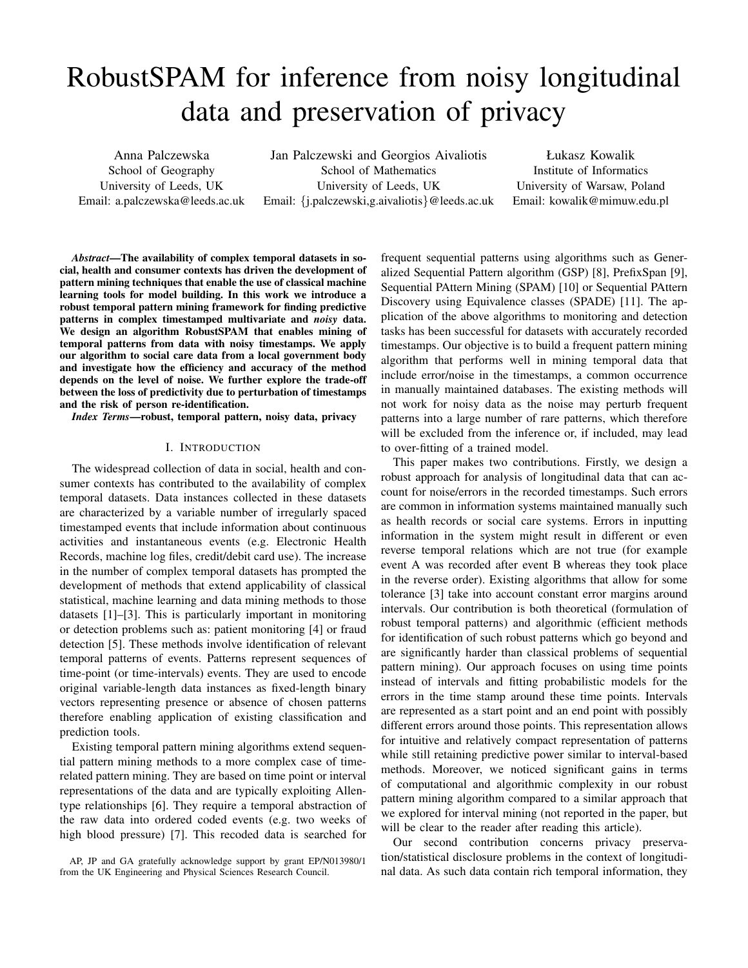# RobustSPAM for inference from noisy longitudinal data and preservation of privacy

Anna Palczewska School of Geography University of Leeds, UK Email: a.palczewska@leeds.ac.uk

Jan Palczewski and Georgios Aivaliotis School of Mathematics University of Leeds, UK Email: {j.palczewski,g.aivaliotis}@leeds.ac.uk

Łukasz Kowalik Institute of Informatics University of Warsaw, Poland Email: kowalik@mimuw.edu.pl

*Abstract*—The availability of complex temporal datasets in social, health and consumer contexts has driven the development of pattern mining techniques that enable the use of classical machine learning tools for model building. In this work we introduce a robust temporal pattern mining framework for finding predictive patterns in complex timestamped multivariate and *noisy* data. We design an algorithm RobustSPAM that enables mining of temporal patterns from data with noisy timestamps. We apply our algorithm to social care data from a local government body and investigate how the efficiency and accuracy of the method depends on the level of noise. We further explore the trade-off between the loss of predictivity due to perturbation of timestamps and the risk of person re-identification.

*Index Terms*—robust, temporal pattern, noisy data, privacy

#### I. INTRODUCTION

The widespread collection of data in social, health and consumer contexts has contributed to the availability of complex temporal datasets. Data instances collected in these datasets are characterized by a variable number of irregularly spaced timestamped events that include information about continuous activities and instantaneous events (e.g. Electronic Health Records, machine log files, credit/debit card use). The increase in the number of complex temporal datasets has prompted the development of methods that extend applicability of classical statistical, machine learning and data mining methods to those datasets [1]–[3]. This is particularly important in monitoring or detection problems such as: patient monitoring [4] or fraud detection [5]. These methods involve identification of relevant temporal patterns of events. Patterns represent sequences of time-point (or time-intervals) events. They are used to encode original variable-length data instances as fixed-length binary vectors representing presence or absence of chosen patterns therefore enabling application of existing classification and prediction tools.

Existing temporal pattern mining algorithms extend sequential pattern mining methods to a more complex case of timerelated pattern mining. They are based on time point or interval representations of the data and are typically exploiting Allentype relationships [6]. They require a temporal abstraction of the raw data into ordered coded events (e.g. two weeks of high blood pressure) [7]. This recoded data is searched for

AP, JP and GA gratefully acknowledge support by grant EP/N013980/1 from the UK Engineering and Physical Sciences Research Council.

frequent sequential patterns using algorithms such as Generalized Sequential Pattern algorithm (GSP) [8], PrefixSpan [9], Sequential PAttern Mining (SPAM) [10] or Sequential PAttern Discovery using Equivalence classes (SPADE) [11]. The application of the above algorithms to monitoring and detection tasks has been successful for datasets with accurately recorded timestamps. Our objective is to build a frequent pattern mining algorithm that performs well in mining temporal data that include error/noise in the timestamps, a common occurrence in manually maintained databases. The existing methods will not work for noisy data as the noise may perturb frequent patterns into a large number of rare patterns, which therefore will be excluded from the inference or, if included, may lead to over-fitting of a trained model.

This paper makes two contributions. Firstly, we design a robust approach for analysis of longitudinal data that can account for noise/errors in the recorded timestamps. Such errors are common in information systems maintained manually such as health records or social care systems. Errors in inputting information in the system might result in different or even reverse temporal relations which are not true (for example event A was recorded after event B whereas they took place in the reverse order). Existing algorithms that allow for some tolerance [3] take into account constant error margins around intervals. Our contribution is both theoretical (formulation of robust temporal patterns) and algorithmic (efficient methods for identification of such robust patterns which go beyond and are significantly harder than classical problems of sequential pattern mining). Our approach focuses on using time points instead of intervals and fitting probabilistic models for the errors in the time stamp around these time points. Intervals are represented as a start point and an end point with possibly different errors around those points. This representation allows for intuitive and relatively compact representation of patterns while still retaining predictive power similar to interval-based methods. Moreover, we noticed significant gains in terms of computational and algorithmic complexity in our robust pattern mining algorithm compared to a similar approach that we explored for interval mining (not reported in the paper, but will be clear to the reader after reading this article).

Our second contribution concerns privacy preservation/statistical disclosure problems in the context of longitudinal data. As such data contain rich temporal information, they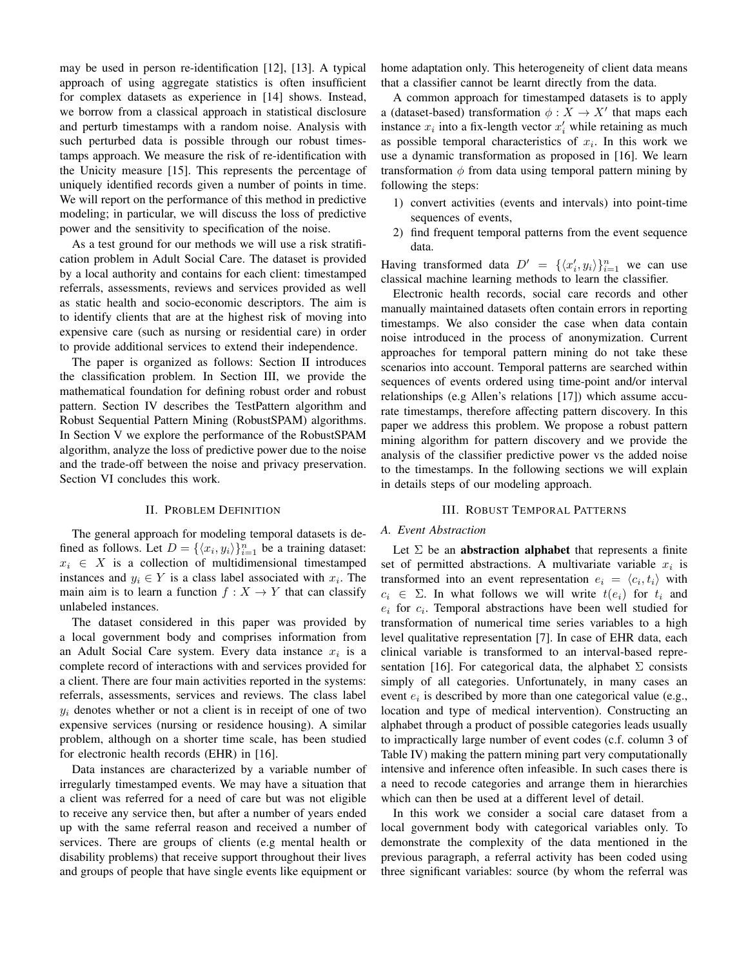may be used in person re-identification [12], [13]. A typical approach of using aggregate statistics is often insufficient for complex datasets as experience in [14] shows. Instead, we borrow from a classical approach in statistical disclosure and perturb timestamps with a random noise. Analysis with such perturbed data is possible through our robust timestamps approach. We measure the risk of re-identification with the Unicity measure [15]. This represents the percentage of uniquely identified records given a number of points in time. We will report on the performance of this method in predictive modeling; in particular, we will discuss the loss of predictive power and the sensitivity to specification of the noise.

As a test ground for our methods we will use a risk stratification problem in Adult Social Care. The dataset is provided by a local authority and contains for each client: timestamped referrals, assessments, reviews and services provided as well as static health and socio-economic descriptors. The aim is to identify clients that are at the highest risk of moving into expensive care (such as nursing or residential care) in order to provide additional services to extend their independence.

The paper is organized as follows: Section II introduces the classification problem. In Section III, we provide the mathematical foundation for defining robust order and robust pattern. Section IV describes the TestPattern algorithm and Robust Sequential Pattern Mining (RobustSPAM) algorithms. In Section V we explore the performance of the RobustSPAM algorithm, analyze the loss of predictive power due to the noise and the trade-off between the noise and privacy preservation. Section VI concludes this work.

#### II. PROBLEM DEFINITION

The general approach for modeling temporal datasets is defined as follows. Let  $D = \{ \langle x_i, y_i \rangle \}_{i=1}^n$  be a training dataset:  $x_i \in X$  is a collection of multidimensional timestamped instances and  $y_i \in Y$  is a class label associated with  $x_i$ . The main aim is to learn a function  $f : X \to Y$  that can classify unlabeled instances.

The dataset considered in this paper was provided by a local government body and comprises information from an Adult Social Care system. Every data instance  $x_i$  is a complete record of interactions with and services provided for a client. There are four main activities reported in the systems: referrals, assessments, services and reviews. The class label  $y_i$  denotes whether or not a client is in receipt of one of two expensive services (nursing or residence housing). A similar problem, although on a shorter time scale, has been studied for electronic health records (EHR) in [16].

Data instances are characterized by a variable number of irregularly timestamped events. We may have a situation that a client was referred for a need of care but was not eligible to receive any service then, but after a number of years ended up with the same referral reason and received a number of services. There are groups of clients (e.g mental health or disability problems) that receive support throughout their lives and groups of people that have single events like equipment or home adaptation only. This heterogeneity of client data means that a classifier cannot be learnt directly from the data.

A common approach for timestamped datasets is to apply a (dataset-based) transformation  $\phi : X \to X'$  that maps each instance  $x_i$  into a fix-length vector  $x'_i$  while retaining as much as possible temporal characteristics of  $x_i$ . In this work we use a dynamic transformation as proposed in [16]. We learn transformation  $\phi$  from data using temporal pattern mining by following the steps:

- 1) convert activities (events and intervals) into point-time sequences of events,
- 2) find frequent temporal patterns from the event sequence data.

Having transformed data  $D' = \{ \langle x'_i, y_i \rangle \}_{i=1}^n$  we can use classical machine learning methods to learn the classifier.

Electronic health records, social care records and other manually maintained datasets often contain errors in reporting timestamps. We also consider the case when data contain noise introduced in the process of anonymization. Current approaches for temporal pattern mining do not take these scenarios into account. Temporal patterns are searched within sequences of events ordered using time-point and/or interval relationships (e.g Allen's relations [17]) which assume accurate timestamps, therefore affecting pattern discovery. In this paper we address this problem. We propose a robust pattern mining algorithm for pattern discovery and we provide the analysis of the classifier predictive power vs the added noise to the timestamps. In the following sections we will explain in details steps of our modeling approach.

#### III. ROBUST TEMPORAL PATTERNS

#### *A. Event Abstraction*

Let  $\Sigma$  be an **abstraction alphabet** that represents a finite set of permitted abstractions. A multivariate variable  $x_i$  is transformed into an event representation  $e_i = \langle c_i, t_i \rangle$  with  $c_i \in \Sigma$ . In what follows we will write  $t(e_i)$  for  $t_i$  and  $e_i$  for  $c_i$ . Temporal abstractions have been well studied for transformation of numerical time series variables to a high level qualitative representation [7]. In case of EHR data, each clinical variable is transformed to an interval-based representation [16]. For categorical data, the alphabet  $\Sigma$  consists simply of all categories. Unfortunately, in many cases an event  $e_i$  is described by more than one categorical value (e.g., location and type of medical intervention). Constructing an alphabet through a product of possible categories leads usually to impractically large number of event codes (c.f. column 3 of Table IV) making the pattern mining part very computationally intensive and inference often infeasible. In such cases there is a need to recode categories and arrange them in hierarchies which can then be used at a different level of detail.

In this work we consider a social care dataset from a local government body with categorical variables only. To demonstrate the complexity of the data mentioned in the previous paragraph, a referral activity has been coded using three significant variables: source (by whom the referral was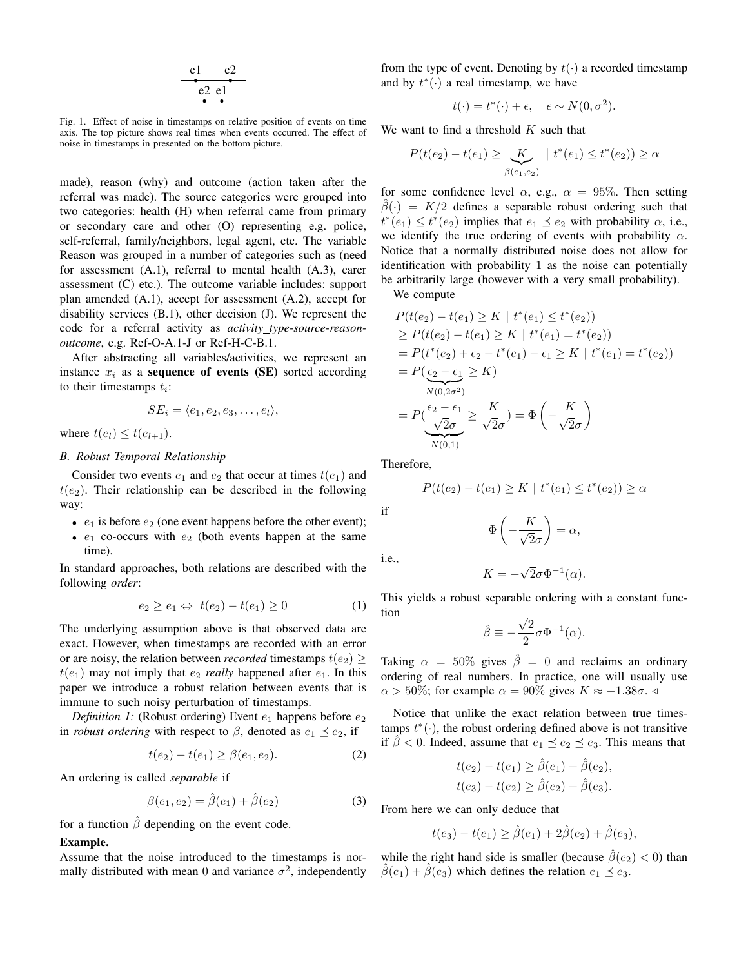$$
e1 \t e2
$$
\ne2 e1

Fig. 1. Effect of noise in timestamps on relative position of events on time axis. The top picture shows real times when events occurred. The effect of noise in timestamps in presented on the bottom picture.

made), reason (why) and outcome (action taken after the referral was made). The source categories were grouped into two categories: health (H) when referral came from primary or secondary care and other (O) representing e.g. police, self-referral, family/neighbors, legal agent, etc. The variable Reason was grouped in a number of categories such as (need for assessment (A.1), referral to mental health (A.3), carer assessment (C) etc.). The outcome variable includes: support plan amended (A.1), accept for assessment (A.2), accept for disability services (B.1), other decision (J). We represent the code for a referral activity as *activity type-source-reasonoutcome*, e.g. Ref-O-A.1-J or Ref-H-C-B.1.

After abstracting all variables/activities, we represent an instance  $x_i$  as a **sequence of events (SE)** sorted according to their timestamps  $t_i$ :

$$
SE_i = \langle e_1, e_2, e_3, \dots, e_l \rangle,
$$

where  $t(e_l) \leq t(e_{l+1})$ .

#### *B. Robust Temporal Relationship*

Consider two events  $e_1$  and  $e_2$  that occur at times  $t(e_1)$  and  $t(e_2)$ . Their relationship can be described in the following way:

- $e_1$  is before  $e_2$  (one event happens before the other event);
- $e_1$  co-occurs with  $e_2$  (both events happen at the same time).

In standard approaches, both relations are described with the following *order*:

$$
e_2 \ge e_1 \Leftrightarrow t(e_2) - t(e_1) \ge 0 \tag{1}
$$

The underlying assumption above is that observed data are exact. However, when timestamps are recorded with an error or are noisy, the relation between *recorded* timestamps  $t(e_2) \geq$  $t(e_1)$  may not imply that  $e_2$  *really* happened after  $e_1$ . In this paper we introduce a robust relation between events that is immune to such noisy perturbation of timestamps.

*Definition 1:* (Robust ordering) Event  $e_1$  happens before  $e_2$ in *robust ordering* with respect to  $\beta$ , denoted as  $e_1 \preceq e_2$ , if

$$
t(e_2) - t(e_1) \ge \beta(e_1, e_2). \tag{2}
$$

An ordering is called *separable* if

$$
\beta(e_1, e_2) = \hat{\beta}(e_1) + \hat{\beta}(e_2)
$$
 (3)

for a function  $\hat{\beta}$  depending on the event code.

#### Example.

Assume that the noise introduced to the timestamps is normally distributed with mean 0 and variance  $\sigma^2$ , independently from the type of event. Denoting by  $t(\cdot)$  a recorded timestamp and by  $t^*(\cdot)$  a real timestamp, we have

$$
t(\cdot) = t^*(\cdot) + \epsilon, \quad \epsilon \sim N(0, \sigma^2).
$$

We want to find a threshold  $K$  such that

$$
P(t(e_2) - t(e_1) \ge \underbrace{K}_{\beta(e_1, e_2)} | t^*(e_1) \le t^*(e_2) \ge \alpha
$$

for some confidence level  $\alpha$ , e.g.,  $\alpha = 95\%$ . Then setting  $\hat{\beta}(\cdot) = K/2$  defines a separable robust ordering such that  $t^*(e_1) \le t^*(e_2)$  implies that  $e_1 \le e_2$  with probability  $\alpha$ , i.e., we identify the true ordering of events with probability  $\alpha$ . Notice that a normally distributed noise does not allow for identification with probability 1 as the noise can potentially be arbitrarily large (however with a very small probability).

We compute

$$
P(t(e_2) - t(e_1) \ge K \mid t^*(e_1) \le t^*(e_2))
$$
  
\n
$$
\ge P(t(e_2) - t(e_1) \ge K \mid t^*(e_1) = t^*(e_2))
$$
  
\n
$$
= P(t^*(e_2) + \epsilon_2 - t^*(e_1) - \epsilon_1 \ge K \mid t^*(e_1) = t^*(e_2))
$$
  
\n
$$
= P(\underbrace{\epsilon_2 - \epsilon_1}_{N(0, 2\sigma^2)} \ge K)
$$
  
\n
$$
= P(\underbrace{\frac{\epsilon_2 - \epsilon_1}{\sqrt{2}\sigma}}_{N(0, 1)} \ge \frac{K}{\sqrt{2}\sigma}) = \Phi(-\frac{K}{\sqrt{2}\sigma})
$$

Therefore,

$$
P(t(e_2) - t(e_1) \ge K \mid t^*(e_1) \le t^*(e_2)) \ge \alpha
$$

if

i.e.,

$$
\Phi\left(-\frac{K}{\sqrt{2}\sigma}\right)=\alpha,
$$

$$
K = -\sqrt{2}\sigma \Phi^{-1}(\alpha).
$$

This yields a robust separable ordering with a constant function

$$
\hat{\beta} \equiv -\frac{\sqrt{2}}{2}\sigma \Phi^{-1}(\alpha).
$$

Taking  $\alpha = 50\%$  gives  $\hat{\beta} = 0$  and reclaims an ordinary ordering of real numbers. In practice, one will usually use  $\alpha > 50\%$ ; for example  $\alpha = 90\%$  gives  $K \approx -1.38\sigma$ .

Notice that unlike the exact relation between true timestamps  $t^*(\cdot)$ , the robust ordering defined above is not transitive if  $\beta$  < 0. Indeed, assume that  $e_1 \preceq e_2 \preceq e_3$ . This means that

$$
t(e_2) - t(e_1) \ge \hat{\beta}(e_1) + \hat{\beta}(e_2),
$$
  

$$
t(e_3) - t(e_2) \ge \hat{\beta}(e_2) + \hat{\beta}(e_3).
$$

From here we can only deduce that

$$
t(e_3) - t(e_1) \ge \hat{\beta}(e_1) + 2\hat{\beta}(e_2) + \hat{\beta}(e_3),
$$

while the right hand side is smaller (because  $\hat{\beta}(e_2) < 0$ ) than  $\hat{\beta}(e_1) + \hat{\beta}(e_3)$  which defines the relation  $e_1 \preceq e_3$ .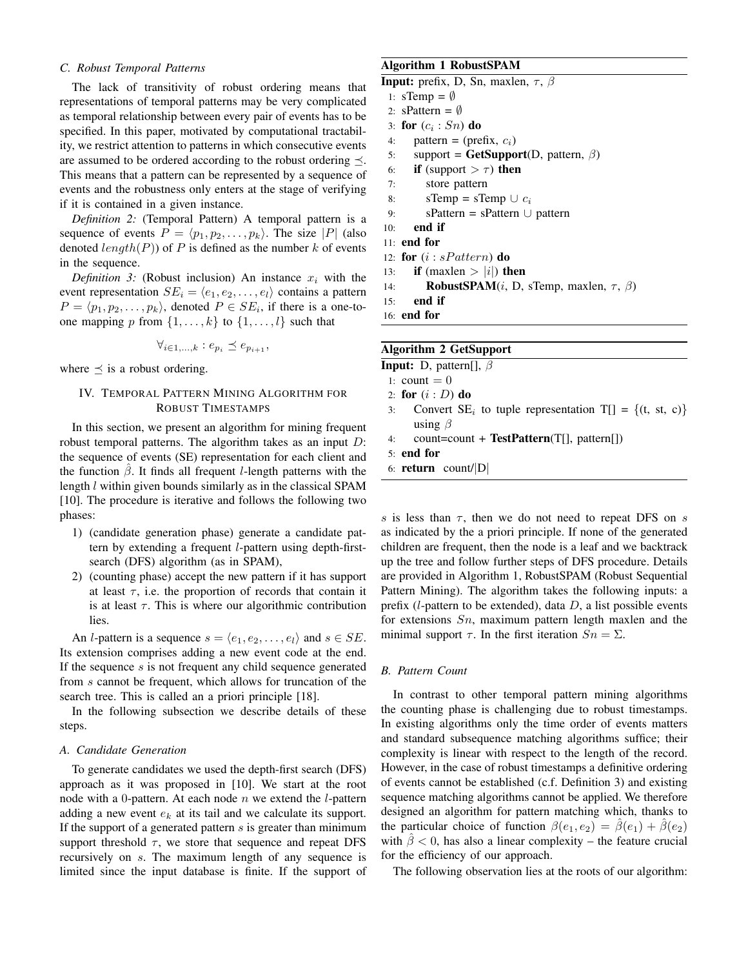#### *C. Robust Temporal Patterns*

The lack of transitivity of robust ordering means that representations of temporal patterns may be very complicated as temporal relationship between every pair of events has to be specified. In this paper, motivated by computational tractability, we restrict attention to patterns in which consecutive events are assumed to be ordered according to the robust ordering  $\preceq$ . This means that a pattern can be represented by a sequence of events and the robustness only enters at the stage of verifying if it is contained in a given instance.

*Definition 2:* (Temporal Pattern) A temporal pattern is a sequence of events  $P = \langle p_1, p_2, \ldots, p_k \rangle$ . The size |P| (also denoted  $length(P)$  of P is defined as the number k of events in the sequence.

*Definition 3:* (Robust inclusion) An instance  $x_i$  with the event representation  $SE_i = \langle e_1, e_2, \dots, e_l \rangle$  contains a pattern  $P = \langle p_1, p_2, \dots, p_k \rangle$ , denoted  $P \in SE_i$ , if there is a one-toone mapping p from  $\{1, \ldots, k\}$  to  $\{1, \ldots, l\}$  such that

$$
\forall_{i\in 1,\ldots,k} : e_{p_i} \preceq e_{p_{i+1}},
$$

where  $\preceq$  is a robust ordering.

## IV. TEMPORAL PATTERN MINING ALGORITHM FOR ROBUST TIMESTAMPS

In this section, we present an algorithm for mining frequent robust temporal patterns. The algorithm takes as an input  $D$ : the sequence of events (SE) representation for each client and the function  $\beta$ . It finds all frequent *l*-length patterns with the length l within given bounds similarly as in the classical SPAM [10]. The procedure is iterative and follows the following two phases:

- 1) (candidate generation phase) generate a candidate pattern by extending a frequent l-pattern using depth-firstsearch (DFS) algorithm (as in SPAM),
- 2) (counting phase) accept the new pattern if it has support at least  $\tau$ , i.e. the proportion of records that contain it is at least  $\tau$ . This is where our algorithmic contribution lies.

An *l*-pattern is a sequence  $s = \langle e_1, e_2, \dots, e_l \rangle$  and  $s \in SE$ . Its extension comprises adding a new event code at the end. If the sequence s is not frequent any child sequence generated from s cannot be frequent, which allows for truncation of the search tree. This is called an a priori principle [18].

In the following subsection we describe details of these steps.

#### *A. Candidate Generation*

To generate candidates we used the depth-first search (DFS) approach as it was proposed in [10]. We start at the root node with a 0-pattern. At each node  $n$  we extend the  $l$ -pattern adding a new event  $e_k$  at its tail and we calculate its support. If the support of a generated pattern  $s$  is greater than minimum support threshold  $\tau$ , we store that sequence and repeat DFS recursively on s. The maximum length of any sequence is limited since the input database is finite. If the support of

# Algorithm 1 RobustSPAM

**Input:** prefix, D, Sn, maxlen,  $\tau$ ,  $\beta$ 

- 1:  $sTemp = \emptyset$ 2: sPattern =  $\emptyset$
- 
- 3: for  $(c_i:Sn)$  do 4: pattern = (prefix,  $c_i$ )
- 5: support = GetSupport(D, pattern,  $\beta$ )
- 6: **if** (support  $>\tau$ ) then
- 7: store pattern
- 
- 8:  $sTemp = sTemp \cup c_i$ <br>9:  $sPattern = sPattern \cup$
- 9: sPattern = sPattern ∪ pattern 10: **end if** end if
- 11: end for
- 
- 12: for  $(i : sPattern)$  do
- 13: **if** (maxlen > |i|) **then**<br>14: **RobustSPAM**(i, D,
- **RobustSPAM**(*i*, D, sTemp, maxlen,  $\tau$ ,  $\beta$ )

15: end if

16: end for

# Algorithm 2 GetSupport

**Input:** D, pattern[],  $\beta$ 

1: count  $= 0$ 

- 2: for  $(i : D)$  do
- 3: Convert  $SE_i$  to tuple representation  $T[] = \{(t, st, c)\}\$ using  $\beta$
- 4: count=count + TestPattern(T[], pattern[])
- 5: end for
- 6: return count/|D|

s is less than  $\tau$ , then we do not need to repeat DFS on s as indicated by the a priori principle. If none of the generated children are frequent, then the node is a leaf and we backtrack up the tree and follow further steps of DFS procedure. Details are provided in Algorithm 1, RobustSPAM (Robust Sequential Pattern Mining). The algorithm takes the following inputs: a prefix ( $l$ -pattern to be extended), data  $D$ , a list possible events for extensions  $Sn$ , maximum pattern length maxlen and the minimal support  $\tau$ . In the first iteration  $Sn = \Sigma$ .

#### *B. Pattern Count*

In contrast to other temporal pattern mining algorithms the counting phase is challenging due to robust timestamps. In existing algorithms only the time order of events matters and standard subsequence matching algorithms suffice; their complexity is linear with respect to the length of the record. However, in the case of robust timestamps a definitive ordering of events cannot be established (c.f. Definition 3) and existing sequence matching algorithms cannot be applied. We therefore designed an algorithm for pattern matching which, thanks to the particular choice of function  $\beta(e_1, e_2) = \hat{\beta}(e_1) + \hat{\beta}(e_2)$ with  $\beta$  < 0, has also a linear complexity – the feature crucial for the efficiency of our approach.

The following observation lies at the roots of our algorithm: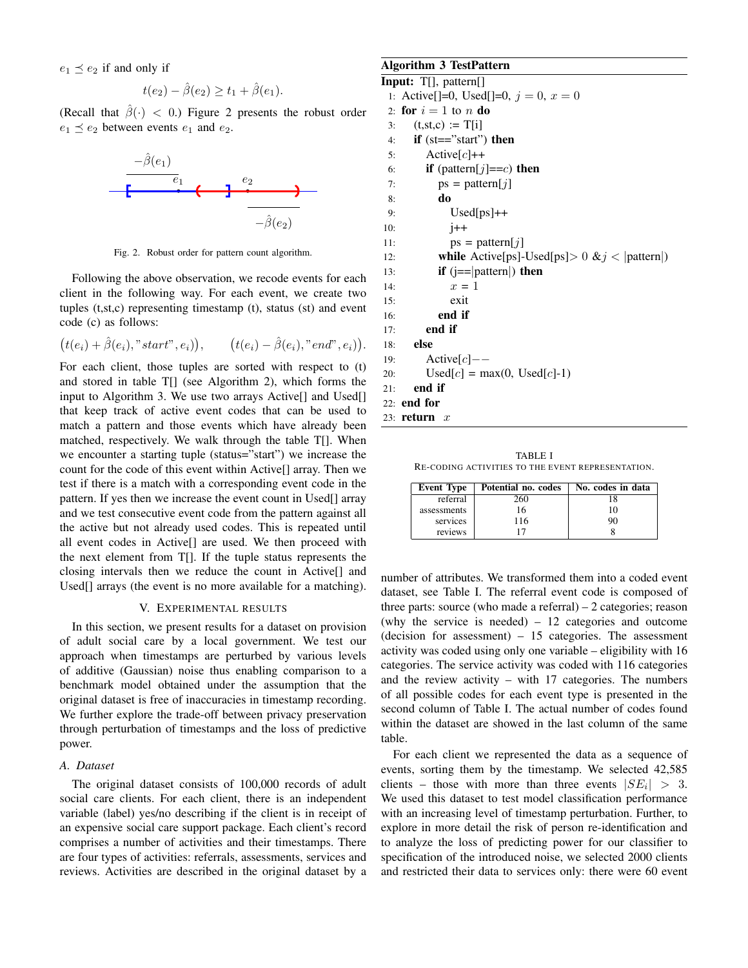$e_1 \preceq e_2$  if and only if

$$
t(e_2) - \hat{\beta}(e_2) \ge t_1 + \hat{\beta}(e_1).
$$

(Recall that  $\hat{\beta}(\cdot)$  < 0.) Figure 2 presents the robust order  $e_1 \preceq e_2$  between events  $e_1$  and  $e_2$ .



Fig. 2. Robust order for pattern count algorithm.

Following the above observation, we recode events for each client in the following way. For each event, we create two tuples (t,st,c) representing timestamp (t), status (st) and event code (c) as follows:

$$
(t(e_i) + \hat{\beta}(e_i), "start", e_i)), \qquad (t(e_i) - \hat{\beta}(e_i), "end", e_i)).
$$

For each client, those tuples are sorted with respect to (t) and stored in table T[] (see Algorithm 2), which forms the input to Algorithm 3. We use two arrays Active[] and Used[] that keep track of active event codes that can be used to match a pattern and those events which have already been matched, respectively. We walk through the table T[]. When we encounter a starting tuple (status="start") we increase the count for the code of this event within Active[] array. Then we test if there is a match with a corresponding event code in the pattern. If yes then we increase the event count in Used[] array and we test consecutive event code from the pattern against all the active but not already used codes. This is repeated until all event codes in Active[] are used. We then proceed with the next element from T[]. If the tuple status represents the closing intervals then we reduce the count in Active[] and Used<sup>[]</sup> arrays (the event is no more available for a matching).

#### V. EXPERIMENTAL RESULTS

In this section, we present results for a dataset on provision of adult social care by a local government. We test our approach when timestamps are perturbed by various levels of additive (Gaussian) noise thus enabling comparison to a benchmark model obtained under the assumption that the original dataset is free of inaccuracies in timestamp recording. We further explore the trade-off between privacy preservation through perturbation of timestamps and the loss of predictive power.

#### *A. Dataset*

The original dataset consists of 100,000 records of adult social care clients. For each client, there is an independent variable (label) yes/no describing if the client is in receipt of an expensive social care support package. Each client's record comprises a number of activities and their timestamps. There are four types of activities: referrals, assessments, services and reviews. Activities are described in the original dataset by a

# Algorithm 3 TestPattern

Input: T[], pattern[] 1: Active  $[-0, \text{ Used}$  $[-0, i = 0, x = 0]$ 2: for  $i = 1$  to n do 3:  $(t, st, c) := T[i]$ 4: **if**  $(st == "start")$  then 5: Active $[c]++$ 6: **if** (pattern[j]==c) **then** 7:  $ps = pattern[j]$ 8: do 9: Used[ps]++ 10: j++ 11:  $ps = pattern[j]$ 12: **while** Active[ps]-Used[ps]>  $0 \& j <$  |pattern|)<br>13: **if** (i==|pattern|) **then** 13: **if**  $(j == | pattern|)$  **then**<br>14:  $x = 1$  $x = 1$ 15: exit 16: end if 17: end if 18: else 19:  $\text{Active}[c]--$ <br>20:  $\text{Used}[c] = m$  $\text{Used}[c] = \max(0, \text{Used}[c]-1)$ 21: end if 22: end for 23:  $return x$ 

TABLE I RE-CODING ACTIVITIES TO THE EVENT REPRESENTATION.

| <b>Event Type</b> | Potential no. codes | No. codes in data |  |  |
|-------------------|---------------------|-------------------|--|--|
| referral          | 266                 |                   |  |  |
| assessments       |                     |                   |  |  |
| services          | 116                 |                   |  |  |
| reviews           |                     |                   |  |  |

number of attributes. We transformed them into a coded event dataset, see Table I. The referral event code is composed of three parts: source (who made a referral) – 2 categories; reason (why the service is needed) – 12 categories and outcome  $-decision$  for assessment) – 15 categories. The assessment activity was coded using only one variable – eligibility with 16 categories. The service activity was coded with 116 categories and the review activity – with 17 categories. The numbers of all possible codes for each event type is presented in the second column of Table I. The actual number of codes found within the dataset are showed in the last column of the same table.

For each client we represented the data as a sequence of events, sorting them by the timestamp. We selected 42,585 clients – those with more than three events  $|SE_i| > 3$ . We used this dataset to test model classification performance with an increasing level of timestamp perturbation. Further, to explore in more detail the risk of person re-identification and to analyze the loss of predicting power for our classifier to specification of the introduced noise, we selected 2000 clients and restricted their data to services only: there were 60 event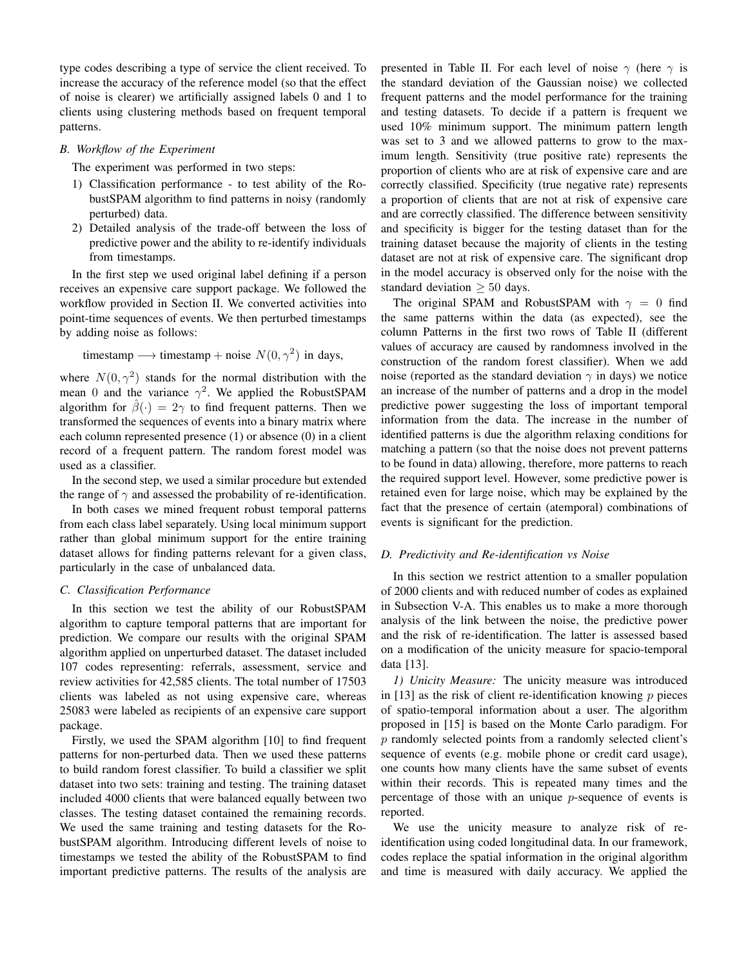type codes describing a type of service the client received. To increase the accuracy of the reference model (so that the effect of noise is clearer) we artificially assigned labels 0 and 1 to clients using clustering methods based on frequent temporal patterns.

#### *B. Workflow of the Experiment*

The experiment was performed in two steps:

- 1) Classification performance to test ability of the RobustSPAM algorithm to find patterns in noisy (randomly perturbed) data.
- 2) Detailed analysis of the trade-off between the loss of predictive power and the ability to re-identify individuals from timestamps.

In the first step we used original label defining if a person receives an expensive care support package. We followed the workflow provided in Section II. We converted activities into point-time sequences of events. We then perturbed timestamps by adding noise as follows:

$$
timestamp \longrightarrow \text{timestamp} + \text{noise } N(0, \gamma^2) \text{ in days},
$$

where  $N(0, \gamma^2)$  stands for the normal distribution with the mean 0 and the variance  $\gamma^2$ . We applied the RobustSPAM algorithm for  $\hat{\beta}(\cdot) = 2\gamma$  to find frequent patterns. Then we transformed the sequences of events into a binary matrix where each column represented presence (1) or absence (0) in a client record of a frequent pattern. The random forest model was used as a classifier.

In the second step, we used a similar procedure but extended the range of  $\gamma$  and assessed the probability of re-identification.

In both cases we mined frequent robust temporal patterns from each class label separately. Using local minimum support rather than global minimum support for the entire training dataset allows for finding patterns relevant for a given class, particularly in the case of unbalanced data.

#### *C. Classification Performance*

In this section we test the ability of our RobustSPAM algorithm to capture temporal patterns that are important for prediction. We compare our results with the original SPAM algorithm applied on unperturbed dataset. The dataset included 107 codes representing: referrals, assessment, service and review activities for 42,585 clients. The total number of 17503 clients was labeled as not using expensive care, whereas 25083 were labeled as recipients of an expensive care support package.

Firstly, we used the SPAM algorithm [10] to find frequent patterns for non-perturbed data. Then we used these patterns to build random forest classifier. To build a classifier we split dataset into two sets: training and testing. The training dataset included 4000 clients that were balanced equally between two classes. The testing dataset contained the remaining records. We used the same training and testing datasets for the RobustSPAM algorithm. Introducing different levels of noise to timestamps we tested the ability of the RobustSPAM to find important predictive patterns. The results of the analysis are

presented in Table II. For each level of noise  $\gamma$  (here  $\gamma$  is the standard deviation of the Gaussian noise) we collected frequent patterns and the model performance for the training and testing datasets. To decide if a pattern is frequent we used 10% minimum support. The minimum pattern length was set to 3 and we allowed patterns to grow to the maximum length. Sensitivity (true positive rate) represents the proportion of clients who are at risk of expensive care and are correctly classified. Specificity (true negative rate) represents a proportion of clients that are not at risk of expensive care and are correctly classified. The difference between sensitivity and specificity is bigger for the testing dataset than for the training dataset because the majority of clients in the testing dataset are not at risk of expensive care. The significant drop in the model accuracy is observed only for the noise with the standard deviation  $\geq 50$  days.

The original SPAM and RobustSPAM with  $\gamma = 0$  find the same patterns within the data (as expected), see the column Patterns in the first two rows of Table II (different values of accuracy are caused by randomness involved in the construction of the random forest classifier). When we add noise (reported as the standard deviation  $\gamma$  in days) we notice an increase of the number of patterns and a drop in the model predictive power suggesting the loss of important temporal information from the data. The increase in the number of identified patterns is due the algorithm relaxing conditions for matching a pattern (so that the noise does not prevent patterns to be found in data) allowing, therefore, more patterns to reach the required support level. However, some predictive power is retained even for large noise, which may be explained by the fact that the presence of certain (atemporal) combinations of events is significant for the prediction.

#### *D. Predictivity and Re-identification vs Noise*

In this section we restrict attention to a smaller population of 2000 clients and with reduced number of codes as explained in Subsection V-A. This enables us to make a more thorough analysis of the link between the noise, the predictive power and the risk of re-identification. The latter is assessed based on a modification of the unicity measure for spacio-temporal data [13].

*1) Unicity Measure:* The unicity measure was introduced in [13] as the risk of client re-identification knowing  $p$  pieces of spatio-temporal information about a user. The algorithm proposed in [15] is based on the Monte Carlo paradigm. For p randomly selected points from a randomly selected client's sequence of events (e.g. mobile phone or credit card usage), one counts how many clients have the same subset of events within their records. This is repeated many times and the percentage of those with an unique p-sequence of events is reported.

We use the unicity measure to analyze risk of reidentification using coded longitudinal data. In our framework, codes replace the spatial information in the original algorithm and time is measured with daily accuracy. We applied the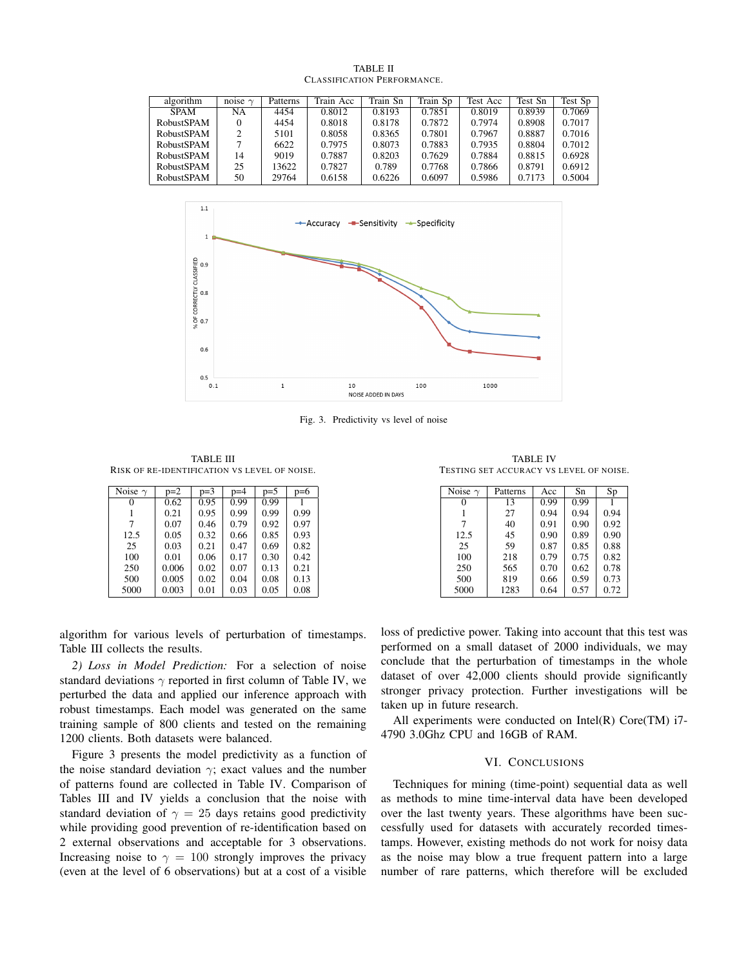| algorithm         | noise $\gamma$ | Patterns | Train Acc | Train Sn | Train Sp | Test Acc | Test Sn | Test Sp |
|-------------------|----------------|----------|-----------|----------|----------|----------|---------|---------|
| <b>SPAM</b>       | NA             | 4454     | 0.8012    | 0.8193   | 0.7851   | 0.8019   | 0.8939  | 0.7069  |
| <b>RobustSPAM</b> |                | 4454     | 0.8018    | 0.8178   | 0.7872   | 0.7974   | 0.8908  | 0.7017  |
| <b>RobustSPAM</b> |                | 5101     | 0.8058    | 0.8365   | 0.7801   | 0.7967   | 0.8887  | 0.7016  |
| <b>RobustSPAM</b> |                | 6622     | 0.7975    | 0.8073   | 0.7883   | 0.7935   | 0.8804  | 0.7012  |
| <b>RobustSPAM</b> | 14             | 9019     | 0.7887    | 0.8203   | 0.7629   | 0.7884   | 0.8815  | 0.6928  |
| <b>RobustSPAM</b> | 25             | 13622    | 0.7827    | 0.789    | 0.7768   | 0.7866   | 0.8791  | 0.6912  |
| <b>RobustSPAM</b> | 50             | 29764    | 0.6158    | 0.6226   | 0.6097   | 0.5986   | 0.7173  | 0.5004  |

TABLE II CLASSIFICATION PERFORMANCE.



Fig. 3. Predictivity vs level of noise

TABLE III RISK OF RE-IDENTIFICATION VS LEVEL OF NOISE.

| Noise $\gamma$ | $p=2$ | $p=3$ | $p=4$ | $p=5$ | $p=6$ |
|----------------|-------|-------|-------|-------|-------|
|                | 0.62  | 0.95  | 0.99  | 0.99  |       |
|                | 0.21  | 0.95  | 0.99  | 0.99  | 0.99  |
| 7              | 0.07  | 0.46  | 0.79  | 0.92  | 0.97  |
| 12.5           | 0.05  | 0.32  | 0.66  | 0.85  | 0.93  |
| 25             | 0.03  | 0.21  | 0.47  | 0.69  | 0.82  |
| 100            | 0.01  | 0.06  | 0.17  | 0.30  | 0.42  |
| 250            | 0.006 | 0.02  | 0.07  | 0.13  | 0.21  |
| 500            | 0.005 | 0.02  | 0.04  | 0.08  | 0.13  |
| 5000           | 0.003 | 0.01  | 0.03  | 0.05  | 0.08  |

algorithm for various levels of perturbation of timestamps. Table III collects the results.

*2) Loss in Model Prediction:* For a selection of noise standard deviations  $\gamma$  reported in first column of Table IV, we perturbed the data and applied our inference approach with robust timestamps. Each model was generated on the same training sample of 800 clients and tested on the remaining 1200 clients. Both datasets were balanced.

Figure 3 presents the model predictivity as a function of the noise standard deviation  $\gamma$ ; exact values and the number of patterns found are collected in Table IV. Comparison of Tables III and IV yields a conclusion that the noise with standard deviation of  $\gamma = 25$  days retains good predictivity while providing good prevention of re-identification based on 2 external observations and acceptable for 3 observations. Increasing noise to  $\gamma = 100$  strongly improves the privacy (even at the level of 6 observations) but at a cost of a visible

TABLE IV TESTING SET ACCURACY VS LEVEL OF NOISE.

| Noise $\gamma$ | Patterns | Acc  | Sn   | Sp   |
|----------------|----------|------|------|------|
|                | 13       | 0.99 | 0.99 |      |
|                | 27       | 0.94 | 0.94 | 0.94 |
| 7              | 40       | 0.91 | 0.90 | 0.92 |
| 12.5           | 45       | 0.90 | 0.89 | 0.90 |
| 25             | 59       | 0.87 | 0.85 | 0.88 |
| 100            | 218      | 0.79 | 0.75 | 0.82 |
| 250            | 565      | 0.70 | 0.62 | 0.78 |
| 500            | 819      | 0.66 | 0.59 | 0.73 |
| 5000           | 1283     | 0.64 | 0.57 | 0.72 |

loss of predictive power. Taking into account that this test was performed on a small dataset of 2000 individuals, we may conclude that the perturbation of timestamps in the whole dataset of over 42,000 clients should provide significantly stronger privacy protection. Further investigations will be taken up in future research.

All experiments were conducted on Intel(R) Core(TM) i7- 4790 3.0Ghz CPU and 16GB of RAM.

## VI. CONCLUSIONS

Techniques for mining (time-point) sequential data as well as methods to mine time-interval data have been developed over the last twenty years. These algorithms have been successfully used for datasets with accurately recorded timestamps. However, existing methods do not work for noisy data as the noise may blow a true frequent pattern into a large number of rare patterns, which therefore will be excluded